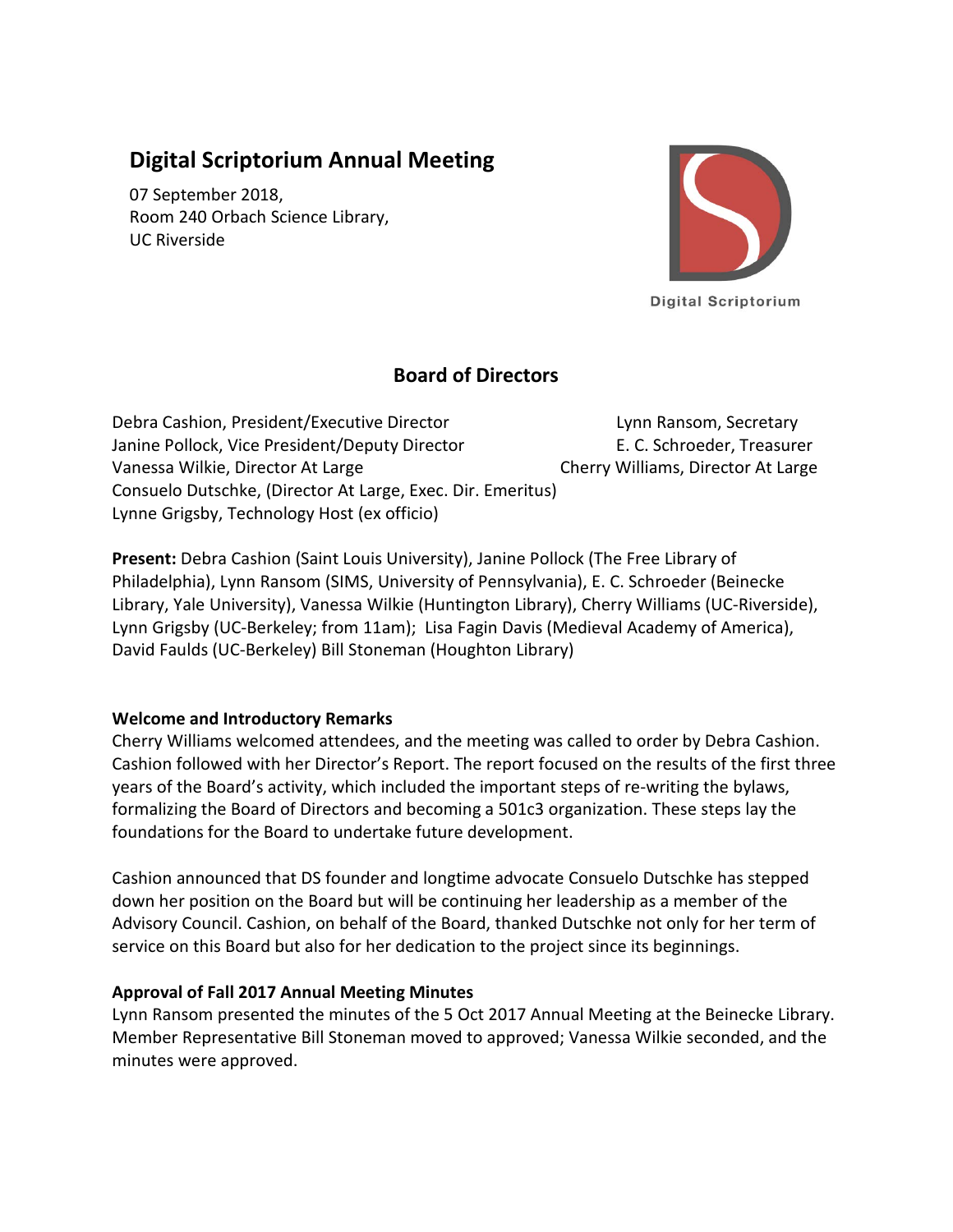# **Digital Scriptorium Annual Meeting**

07 September 2018, Room 240 Orbach Science Library, UC Riverside



**Digital Scriptorium** 

## **Board of Directors**

Debra Cashion, President/Executive Director Lynn Ransom, Secretary Janine Pollock, Vice President/Deputy Director E. C. Schroeder, Treasurer Vanessa Wilkie, Director At Large Cherry Williams, Director At Large Consuelo Dutschke, (Director At Large, Exec. Dir. Emeritus) Lynne Grigsby, Technology Host (ex officio)

**Present:** Debra Cashion (Saint Louis University), Janine Pollock (The Free Library of Philadelphia), Lynn Ransom (SIMS, University of Pennsylvania), E. C. Schroeder (Beinecke Library, Yale University), Vanessa Wilkie (Huntington Library), Cherry Williams (UC-Riverside), Lynn Grigsby (UC-Berkeley; from 11am); Lisa Fagin Davis (Medieval Academy of America), David Faulds (UC-Berkeley) Bill Stoneman (Houghton Library)

## **Welcome and Introductory Remarks**

Cherry Williams welcomed attendees, and the meeting was called to order by Debra Cashion. Cashion followed with her Director's Report. The report focused on the results of the first three years of the Board's activity, which included the important steps of re-writing the bylaws, formalizing the Board of Directors and becoming a 501c3 organization. These steps lay the foundations for the Board to undertake future development.

Cashion announced that DS founder and longtime advocate Consuelo Dutschke has stepped down her position on the Board but will be continuing her leadership as a member of the Advisory Council. Cashion, on behalf of the Board, thanked Dutschke not only for her term of service on this Board but also for her dedication to the project since its beginnings.

## **Approval of Fall 2017 Annual Meeting Minutes**

Lynn Ransom presented the minutes of the 5 Oct 2017 Annual Meeting at the Beinecke Library. Member Representative Bill Stoneman moved to approved; Vanessa Wilkie seconded, and the minutes were approved.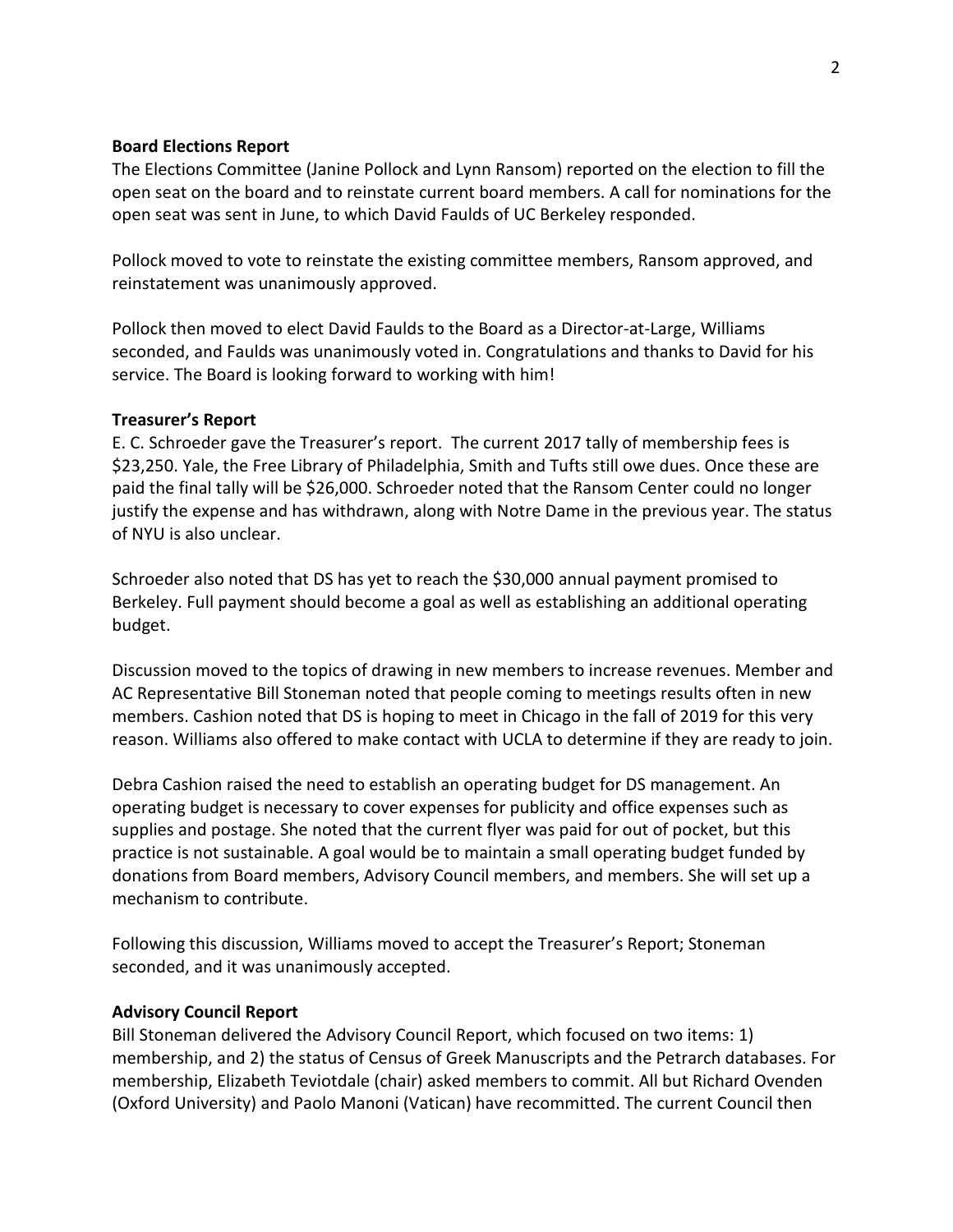#### **Board Elections Report**

The Elections Committee (Janine Pollock and Lynn Ransom) reported on the election to fill the open seat on the board and to reinstate current board members. A call for nominations for the open seat was sent in June, to which David Faulds of UC Berkeley responded.

Pollock moved to vote to reinstate the existing committee members, Ransom approved, and reinstatement was unanimously approved.

Pollock then moved to elect David Faulds to the Board as a Director-at-Large, Williams seconded, and Faulds was unanimously voted in. Congratulations and thanks to David for his service. The Board is looking forward to working with him!

#### **Treasurer's Report**

E. C. Schroeder gave the Treasurer's report. The current 2017 tally of membership fees is \$23,250. Yale, the Free Library of Philadelphia, Smith and Tufts still owe dues. Once these are paid the final tally will be \$26,000. Schroeder noted that the Ransom Center could no longer justify the expense and has withdrawn, along with Notre Dame in the previous year. The status of NYU is also unclear.

Schroeder also noted that DS has yet to reach the \$30,000 annual payment promised to Berkeley. Full payment should become a goal as well as establishing an additional operating budget.

Discussion moved to the topics of drawing in new members to increase revenues. Member and AC Representative Bill Stoneman noted that people coming to meetings results often in new members. Cashion noted that DS is hoping to meet in Chicago in the fall of 2019 for this very reason. Williams also offered to make contact with UCLA to determine if they are ready to join.

Debra Cashion raised the need to establish an operating budget for DS management. An operating budget is necessary to cover expenses for publicity and office expenses such as supplies and postage. She noted that the current flyer was paid for out of pocket, but this practice is not sustainable. A goal would be to maintain a small operating budget funded by donations from Board members, Advisory Council members, and members. She will set up a mechanism to contribute.

Following this discussion, Williams moved to accept the Treasurer's Report; Stoneman seconded, and it was unanimously accepted.

#### **Advisory Council Report**

Bill Stoneman delivered the Advisory Council Report, which focused on two items: 1) membership, and 2) the status of Census of Greek Manuscripts and the Petrarch databases. For membership, Elizabeth Teviotdale (chair) asked members to commit. All but Richard Ovenden (Oxford University) and Paolo Manoni (Vatican) have recommitted. The current Council then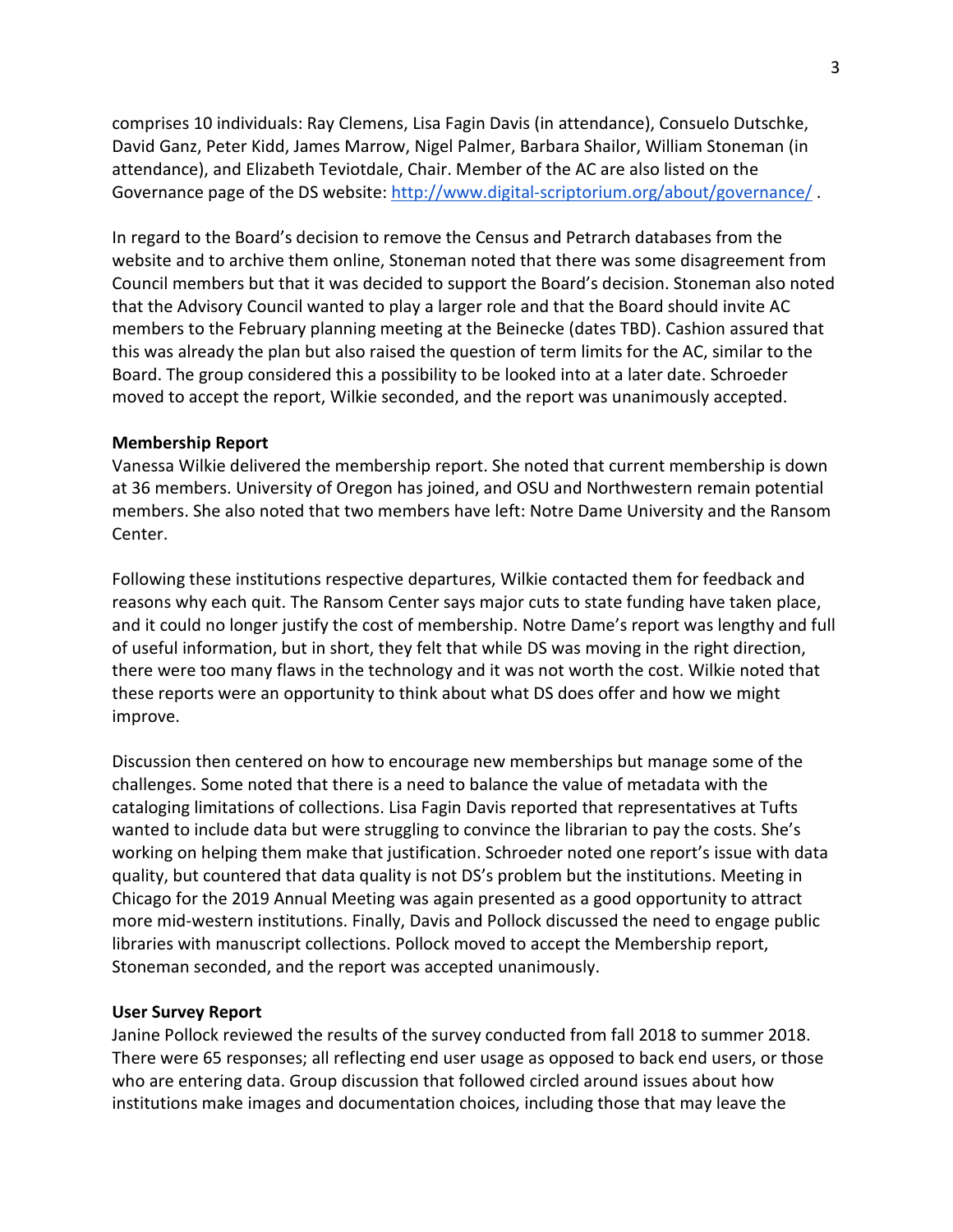comprises 10 individuals: Ray Clemens, Lisa Fagin Davis (in attendance), Consuelo Dutschke, David Ganz, Peter Kidd, James Marrow, Nigel Palmer, Barbara Shailor, William Stoneman (in attendance), and Elizabeth Teviotdale, Chair. Member of the AC are also listed on the Governance page of the DS website:<http://www.digital-scriptorium.org/about/governance/>.

In regard to the Board's decision to remove the Census and Petrarch databases from the website and to archive them online, Stoneman noted that there was some disagreement from Council members but that it was decided to support the Board's decision. Stoneman also noted that the Advisory Council wanted to play a larger role and that the Board should invite AC members to the February planning meeting at the Beinecke (dates TBD). Cashion assured that this was already the plan but also raised the question of term limits for the AC, similar to the Board. The group considered this a possibility to be looked into at a later date. Schroeder moved to accept the report, Wilkie seconded, and the report was unanimously accepted.

#### **Membership Report**

Vanessa Wilkie delivered the membership report. She noted that current membership is down at 36 members. University of Oregon has joined, and OSU and Northwestern remain potential members. She also noted that two members have left: Notre Dame University and the Ransom Center.

Following these institutions respective departures, Wilkie contacted them for feedback and reasons why each quit. The Ransom Center says major cuts to state funding have taken place, and it could no longer justify the cost of membership. Notre Dame's report was lengthy and full of useful information, but in short, they felt that while DS was moving in the right direction, there were too many flaws in the technology and it was not worth the cost. Wilkie noted that these reports were an opportunity to think about what DS does offer and how we might improve.

Discussion then centered on how to encourage new memberships but manage some of the challenges. Some noted that there is a need to balance the value of metadata with the cataloging limitations of collections. Lisa Fagin Davis reported that representatives at Tufts wanted to include data but were struggling to convince the librarian to pay the costs. She's working on helping them make that justification. Schroeder noted one report's issue with data quality, but countered that data quality is not DS's problem but the institutions. Meeting in Chicago for the 2019 Annual Meeting was again presented as a good opportunity to attract more mid-western institutions. Finally, Davis and Pollock discussed the need to engage public libraries with manuscript collections. Pollock moved to accept the Membership report, Stoneman seconded, and the report was accepted unanimously.

#### **User Survey Report**

Janine Pollock reviewed the results of the survey conducted from fall 2018 to summer 2018. There were 65 responses; all reflecting end user usage as opposed to back end users, or those who are entering data. Group discussion that followed circled around issues about how institutions make images and documentation choices, including those that may leave the